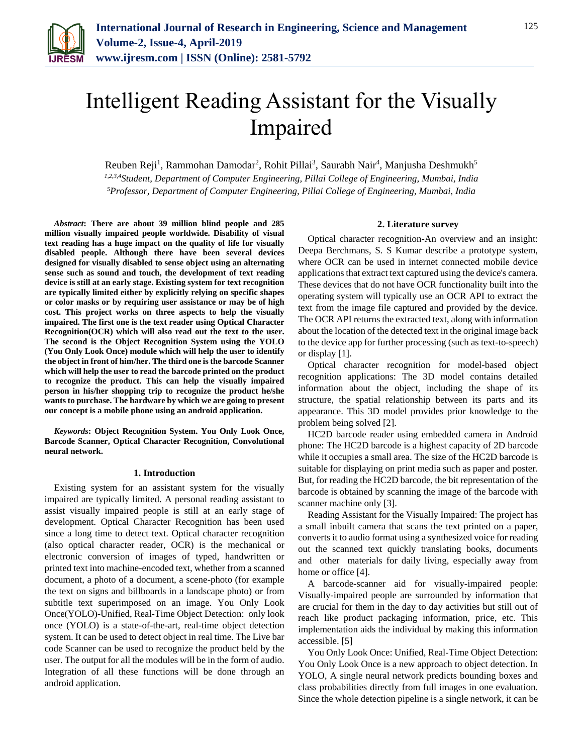

# Intelligent Reading Assistant for the Visually Impaired

Reuben Reji<sup>1</sup>, Rammohan Damodar<sup>2</sup>, Rohit Pillai<sup>3</sup>, Saurabh Nair<sup>4</sup>, Manjusha Deshmukh<sup>5</sup> *1,2,3,4Student, Department of Computer Engineering, Pillai College of Engineering, Mumbai, India 5Professor, Department of Computer Engineering, Pillai College of Engineering, Mumbai, India*

*Abstract***: There are about 39 million blind people and 285 million visually impaired people worldwide. Disability of visual text reading has a huge impact on the quality of life for visually disabled people. Although there have been several devices designed for visually disabled to sense object using an alternating sense such as sound and touch, the development of text reading device is still at an early stage. Existing system for text recognition are typically limited either by explicitly relying on specific shapes or color masks or by requiring user assistance or may be of high cost. This project works on three aspects to help the visually impaired. The first one is the text reader using Optical Character Recognition(OCR) which will also read out the text to the user. The second is the Object Recognition System using the YOLO (You Only Look Once) module which will help the user to identify the object in front of him/her. The third one is the barcode Scanner which will help the user to read the barcode printed on the product to recognize the product. This can help the visually impaired person in his/her shopping trip to recognize the product he/she wants to purchase. The hardware by which we are going to present our concept is a mobile phone using an android application.**

*Keywords***: Object Recognition System. You Only Look Once, Barcode Scanner, Optical Character Recognition, Convolutional neural network.**

#### **1. Introduction**

Existing system for an assistant system for the visually impaired are typically limited. A personal reading assistant to assist visually impaired people is still at an early stage of development. Optical Character Recognition has been used since a long time to detect text. Optical character recognition (also optical character reader, OCR) is the mechanical or electronic conversion of images of typed, handwritten or printed text into machine-encoded text, whether from a scanned document, a photo of a document, a scene-photo (for example the text on signs and billboards in a landscape photo) or from subtitle text superimposed on an image. You Only Look Once(YOLO)-Unified, Real-Time Object Detection: only look once (YOLO) is a state-of-the-art, real-time object detection system. It can be used to detect object in real time. The Live bar code Scanner can be used to recognize the product held by the user. The output for all the modules will be in the form of audio. Integration of all these functions will be done through an android application.

#### **2. Literature survey**

Optical character recognition-An overview and an insight: Deepa Berchmans, S. S Kumar describe a prototype system, where OCR can be used in internet connected mobile device applications that extract text captured using the device's camera. These devices that do not have OCR functionality built into the operating system will typically use an OCR API to extract the text from the image file captured and provided by the device. The OCR API returns the extracted text, along with information about the location of the detected text in the original image back to the device app for further processing (such as text-to-speech) or display [1].

Optical character recognition for model-based object recognition applications: The 3D model contains detailed information about the object, including the shape of its structure, the spatial relationship between its parts and its appearance. This 3D model provides prior knowledge to the problem being solved [2].

HC2D barcode reader using embedded camera in Android phone: The HC2D barcode is a highest capacity of 2D barcode while it occupies a small area. The size of the HC2D barcode is suitable for displaying on print media such as paper and poster. But, for reading the HC2D barcode, the bit representation of the barcode is obtained by scanning the image of the barcode with scanner machine only [3].

Reading Assistant for the Visually Impaired: The project has a small inbuilt camera that scans the text printed on a paper, converts it to audio format using a synthesized voice for reading out the scanned text quickly translating books, documents and other materials for daily living, especially away from home or office [4].

A barcode-scanner aid for visually-impaired people: Visually-impaired people are surrounded by information that are crucial for them in the day to day activities but still out of reach like product packaging information, price, etc. This implementation aids the individual by making this information accessible. [5]

You Only Look Once: Unified, Real-Time Object Detection: You Only Look Once is a new approach to object detection. In YOLO, A single neural network predicts bounding boxes and class probabilities directly from full images in one evaluation. Since the whole detection pipeline is a single network, it can be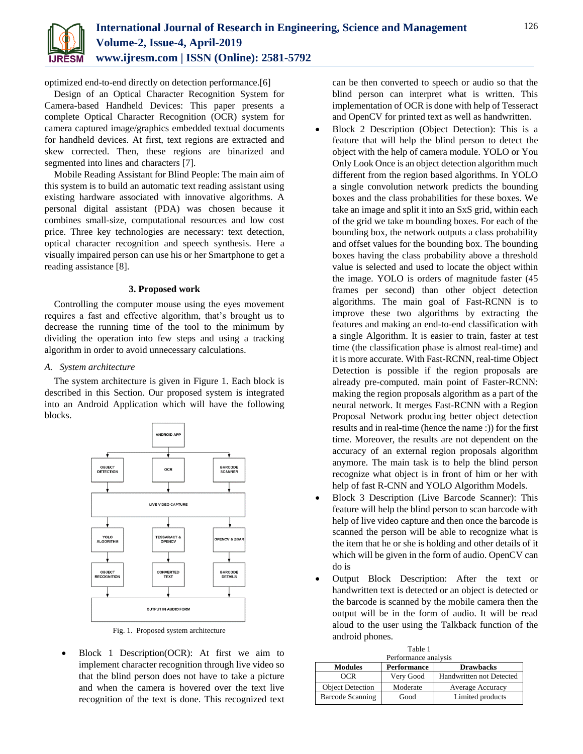

optimized end-to-end directly on detection performance.[6]

Design of an Optical Character Recognition System for Camera-based Handheld Devices: This paper presents a complete Optical Character Recognition (OCR) system for camera captured image/graphics embedded textual documents for handheld devices. At first, text regions are extracted and skew corrected. Then, these regions are binarized and segmented into lines and characters [7].

Mobile Reading Assistant for Blind People: The main aim of this system is to build an automatic text reading assistant using existing hardware associated with innovative algorithms. A personal digital assistant (PDA) was chosen because it combines small-size, computational resources and low cost price. Three key technologies are necessary: text detection, optical character recognition and speech synthesis. Here a visually impaired person can use his or her Smartphone to get a reading assistance [8].

# **3. Proposed work**

Controlling the computer mouse using the eyes movement requires a fast and effective algorithm, that's brought us to decrease the running time of the tool to the minimum by dividing the operation into few steps and using a tracking algorithm in order to avoid unnecessary calculations.

# *A. System architecture*

The system architecture is given in Figure 1. Each block is described in this Section. Our proposed system is integrated into an Android Application which will have the following blocks.



Fig. 1. Proposed system architecture

 Block 1 Description(OCR): At first we aim to implement character recognition through live video so that the blind person does not have to take a picture and when the camera is hovered over the text live recognition of the text is done. This recognized text can be then converted to speech or audio so that the blind person can interpret what is written. This implementation of OCR is done with help of Tesseract and OpenCV for printed text as well as handwritten.

- Block 2 Description (Object Detection): This is a feature that will help the blind person to detect the object with the help of camera module. YOLO or You Only Look Once is an object detection algorithm much different from the region based algorithms. In YOLO a single convolution network predicts the bounding boxes and the class probabilities for these boxes. We take an image and split it into an SxS grid, within each of the grid we take m bounding boxes. For each of the bounding box, the network outputs a class probability and offset values for the bounding box. The bounding boxes having the class probability above a threshold value is selected and used to locate the object within the image. YOLO is orders of magnitude faster (45 frames per second) than other object detection algorithms. The main goal of Fast-RCNN is to improve these two algorithms by extracting the features and making an end-to-end classification with a single Algorithm. It is easier to train, faster at test time (the classification phase is almost real-time) and it is more accurate. With Fast-RCNN, real-time Object Detection is possible if the region proposals are already pre-computed. main point of Faster-RCNN: making the region proposals algorithm as a part of the neural network. It merges Fast-RCNN with a Region Proposal Network producing better object detection results and in real-time (hence the name :)) for the first time. Moreover, the results are not dependent on the accuracy of an external region proposals algorithm anymore. The main task is to help the blind person recognize what object is in front of him or her with help of fast R-CNN and YOLO Algorithm Models.
- Block 3 Description (Live Barcode Scanner): This feature will help the blind person to scan barcode with help of live video capture and then once the barcode is scanned the person will be able to recognize what is the item that he or she is holding and other details of it which will be given in the form of audio. OpenCV can do is
- Output Block Description: After the text or handwritten text is detected or an object is detected or the barcode is scanned by the mobile camera then the output will be in the form of audio. It will be read aloud to the user using the Talkback function of the android phones.

| Table 1                 |                    |                          |  |
|-------------------------|--------------------|--------------------------|--|
| Performance analysis    |                    |                          |  |
| <b>Modules</b>          | <b>Performance</b> | <b>Drawbacks</b>         |  |
| OCR                     | Very Good          | Handwritten not Detected |  |
| <b>Object Detection</b> | Moderate           | Average Accuracy         |  |
| <b>Barcode Scanning</b> | Good               | Limited products         |  |